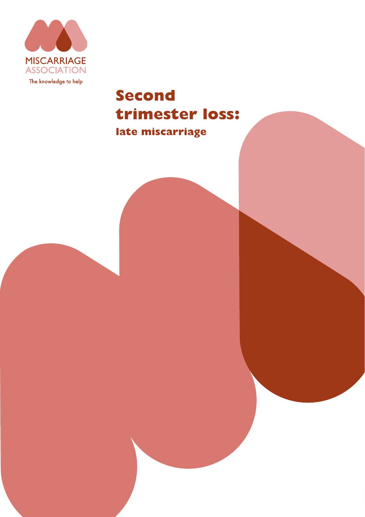

# **Second trimester loss:**

**late miscarriage**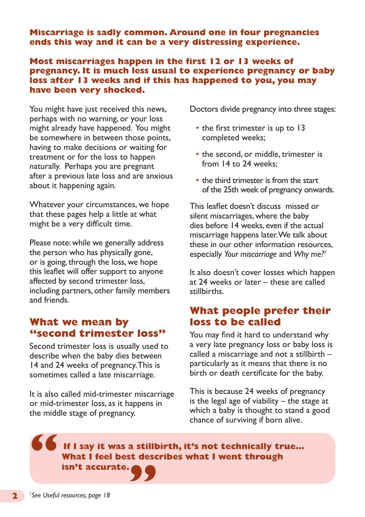**Miscarriage is sadly common. Around one in four pregnancies ends this way and it can be a very distressing experience.** 

#### **Most miscarriages happen in the first 12 or 13 weeks of pregnancy. It is much less usual to experience pregnancy or baby loss after 13 weeks and if this has happened to you, you may have been very shocked.**

You might have just received this news, perhaps with no warning, or your loss might already have happened. You might be somewhere in between those points, having to make decisions or waiting for treatment or for the loss to happen naturally. Perhaps you are pregnant after a previous late loss and are anxious about it happening again.

Whatever your circumstances, we hope that these pages help a little at what might be a very difficult time.

Please note: while we generally address the person who has physically gone, or is going, through the loss, we hope this leaflet will offer support to anyone affected by second trimester loss, including partners, other family members and friends.

### **What we mean by "second trimester loss"**

Second trimester loss is usually used to describe when the baby dies between 14 and 24 weeks of pregnancy. This is sometimes called a late miscarriage.

It is also called mid-trimester miscarriage or mid-trimester loss, as it happens in the middle stage of pregnancy.

Doctors divide pregnancy into three stages:

- the first trimester is up to 13 completed weeks;
- the second, or middle, trimester is from 14 to 24 weeks;
- the third trimester is from the start of the 25th week of pregnancy onwards.

This leaflet doesn't discuss missed or silent miscarriages, where the baby dies before 14 weeks, even if the actual miscarriage happens later. We talk about these in our other information resources, especially *Your miscarriage* and *Why me?***<sup>1</sup>**

It also doesn't cover losses which happen at 24 weeks or later – these are called stillbirths.

# **What people prefer their loss to be called**

You may find it hard to understand why a very late pregnancy loss or baby loss is called a miscarriage and not a stillbirth – particularly as it means that there is no birth or death certificate for the baby.

This is because 24 weeks of pregnancy is the legal age of viability  $-$  the stage at which a baby is thought to stand a good chance of surviving if born alive.

**If I say it was a stillbirth, it's not technically true… What I feel best describes what I went through isn't accurate. " "**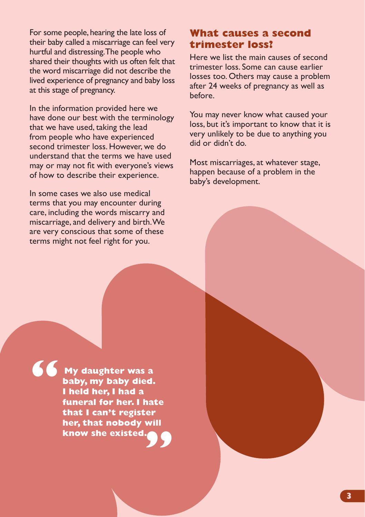For some people, hearing the late loss of their baby called a miscarriage can feel very hurtful and distressing. The people who shared their thoughts with us often felt that the word miscarriage did not describe the lived experience of pregnancy and baby loss at this stage of pregnancy.

In the information provided here we have done our best with the terminology that we have used, taking the lead from people who have experienced second trimester loss. However, we do understand that the terms we have used may or may not fit with everyone's views of how to describe their experience.

In some cases we also use medical terms that you may encounter during care, including the words miscarry and miscarriage, and delivery and birth. We are very conscious that some of these terms might not feel right for you.

# **What causes a second trimester loss?**

Here we list the main causes of second trimester loss. Some can cause earlier losses too. Others may cause a problem after 24 weeks of pregnancy as well as before.

You may never know what caused your loss, but it's important to know that it is very unlikely to be due to anything you did or didn't do.

Most miscarriages, at whatever stage, happen because of a problem in the baby's development.

**My daughter was a baby, my baby died. I held her, I had a funeral for her. I hate that I can't register her, that nobody will know she existed. "**

**"**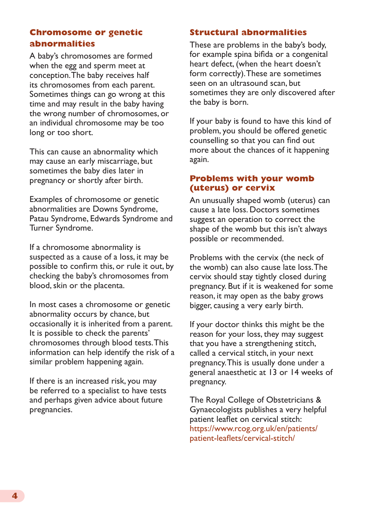#### **Chromosome or genetic abnormalities**

A baby's chromosomes are formed when the egg and sperm meet at conception. The baby receives half its chromosomes from each parent. Sometimes things can go wrong at this time and may result in the baby having the wrong number of chromosomes, or an individual chromosome may be too long or too short.

This can cause an abnormality which may cause an early miscarriage, but sometimes the baby dies later in pregnancy or shortly after birth.

Examples of chromosome or genetic abnormalities are Downs Syndrome, Patau Syndrome, Edwards Syndrome and Turner Syndrome.

If a chromosome abnormality is suspected as a cause of a loss, it may be possible to confirm this, or rule it out, by checking the baby's chromosomes from blood, skin or the placenta.

In most cases a chromosome or genetic abnormality occurs by chance, but occasionally it is inherited from a parent. It is possible to check the parents' chromosomes through blood tests. This information can help identify the risk of a similar problem happening again.

If there is an increased risk, you may be referred to a specialist to have tests and perhaps given advice about future pregnancies.

#### **Structural abnormalities**

These are problems in the baby's body, for example spina bifida or a congenital heart defect, (when the heart doesn't form correctly). These are sometimes seen on an ultrasound scan, but sometimes they are only discovered after the baby is born.

If your baby is found to have this kind of problem, you should be offered genetic counselling so that you can find out more about the chances of it happening again.

#### **Problems with your womb (uterus) or cervix**

An unusually shaped womb (uterus) can cause a late loss. Doctors sometimes suggest an operation to correct the shape of the womb but this isn't always possible or recommended.

Problems with the cervix (the neck of the womb) can also cause late loss. The cervix should stay tightly closed during pregnancy. But if it is weakened for some reason, it may open as the baby grows bigger, causing a very early birth.

If your doctor thinks this might be the reason for your loss, they may suggest that you have a strengthening stitch, called a cervical stitch, in your next pregnancy. This is usually done under a general anaesthetic at 13 or 14 weeks of pregnancy.

The Royal College of Obstetricians & Gynaecologists publishes a very helpful patient leaflet on cervical stitch: [https://www.rcog.org.uk/en/patients/](https://www.rcog.org.uk/en/patients/patient-leaflets/cervical-stitch/) [patient-leaflets/cervical-stitch/](https://www.rcog.org.uk/en/patients/patient-leaflets/cervical-stitch/)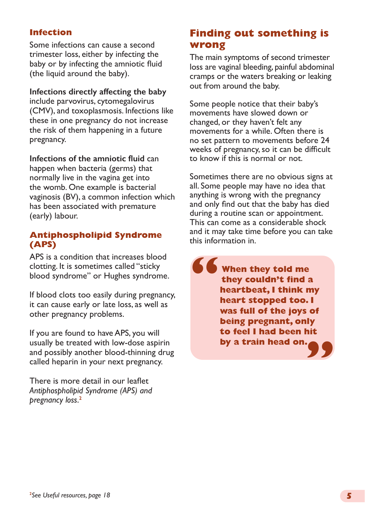#### **Infection**

Some infections can cause a second trimester loss, either by infecting the baby or by infecting the amniotic fluid (the liquid around the baby).

**Infections directly affecting the baby** include parvovirus, cytomegalovirus (CMV), and toxoplasmosis. Infections like these in one pregnancy do not increase the risk of them happening in a future pregnancy.

**Infections of the amniotic fluid** can happen when bacteria (germs) that normally live in the vagina get into the womb. One example is bacterial vaginosis (BV), a common infection which has been associated with premature (early) labour.

#### **Antiphospholipid Syndrome (APS)**

APS is a condition that increases blood clotting. It is sometimes called "sticky blood syndrome" or Hughes syndrome.

If blood clots too easily during pregnancy, it can cause early or late loss, as well as other pregnancy problems.

If you are found to have APS, you will usually be treated with low-dose aspirin and possibly another blood-thinning drug called heparin in your next pregnancy.

There is more detail in our leaflet *Antiphospholipid Syndrome (APS) and pregnancy loss*. **2**

# **Finding out something is wrong**

The main symptoms of second trimester loss are vaginal bleeding, painful abdominal cramps or the waters breaking or leaking out from around the baby.

Some people notice that their baby's movements have slowed down or changed, or they haven't felt any movements for a while. Often there is no set pattern to movements before 24 weeks of pregnancy, so it can be difficult to know if this is normal or not.

Sometimes there are no obvious signs at all. Some people may have no idea that anything is wrong with the pregnancy and only find out that the baby has died during a routine scan or appointment. This can come as a considerable shock and it may take time before you can take this information in.

**When they told me they couldn't find a heartbeat, I think my heart stopped too. I was full of the joys of being pregnant, only to feel I had been hit by a train head on. " "**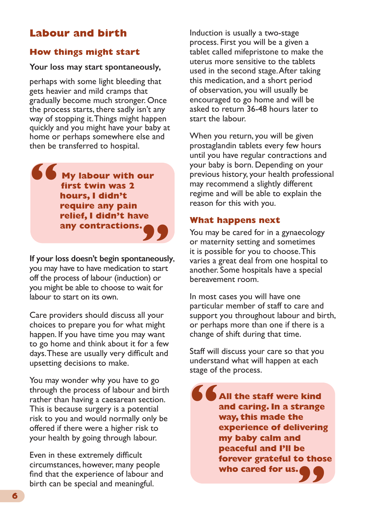# **Labour and birth**

#### **How things might start**

#### **Your loss may start spontaneously,**

perhaps with some light bleeding that gets heavier and mild cramps that gradually become much stronger. Once the process starts, there sadly isn't any way of stopping it. Things might happen quickly and you might have your baby at home or perhaps somewhere else and then be transferred to hospital.

**My labour with our first twin was 2 hours, I didn't require any pain relief, I didn't have any contractions. " any contractions. 99** 

you may have to have medication to start off the process of labour (induction) or you might be able to choose to wait for labour to start on its own.

Care providers should discuss all your choices to prepare you for what might happen. If you have time you may want to go home and think about it for a few days. These are usually very difficult and upsetting decisions to make.

You may wonder why you have to go through the process of labour and birth rather than having a caesarean section. This is because surgery is a potential risk to you and would normally only be offered if there were a higher risk to your health by going through labour.

Even in these extremely difficult circumstances, however, many people find that the experience of labour and birth can be special and meaningful.

Induction is usually a two-stage process. First you will be a given a tablet called mifepristone to make the uterus more sensitive to the tablets used in the second stage. After taking this medication, and a short period of observation, you will usually be encouraged to go home and will be asked to return 36-48 hours later to start the labour.

When you return, you will be given prostaglandin tablets every few hours until you have regular contractions and your baby is born. Depending on your previous history, your health professional may recommend a slightly different regime and will be able to explain the reason for this with you.

#### **What happens next**

You may be cared for in a gynaecology or maternity setting and sometimes it is possible for you to choose. This varies a great deal from one hospital to another. Some hospitals have a special bereavement room.

In most cases you will have one particular member of staff to care and support you throughout labour and birth, or perhaps more than one if there is a change of shift during that time.

Staff will discuss your care so that you understand what will happen at each stage of the process.

**All the staff were kind and caring. In a strange way, this made the experience of delivering my baby calm and peaceful and I'll be forever grateful to those who cared for us. " "**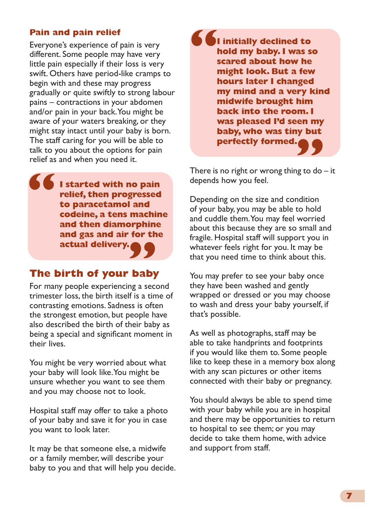#### **Pain and pain relief**

**"** Everyone's experience of pain is very different. Some people may have very little pain especially if their loss is very swift. Others have period-like cramps to begin with and these may progress gradually or quite swiftly to strong labour pains – contractions in your abdomen and/or pain in your back. You might be aware of your waters breaking, or they might stay intact until your baby is born. The staff caring for you will be able to talk to you about the options for pain relief as and when you need it.

**I started with no pain relief, then progressed to paracetamol and codeine, a tens machine and then diamorphine and gas and air for the actual delivery.**

# actual delivery.<br> **The birth of your baby**

For many people experiencing a second trimester loss, the birth itself is a time of contrasting emotions. Sadness is often the strongest emotion, but people have also described the birth of their baby as being a special and significant moment in their lives.

You might be very worried about what your baby will look like. You might be unsure whether you want to see them and you may choose not to look.

Hospital staff may offer to take a photo of your baby and save it for you in case you want to look later.

It may be that someone else, a midwife or a family member, will describe your baby to you and that will help you decide. **Perfectly formed. <br>There is no right or wrong thing to do – it " I initially declined to hold my baby. I was so scared about how he might look. But a few hours later I changed my mind and a very kind midwife brought him back into the room. I was pleased I'd seen my baby, who was tiny but perfectly formed.**

depends how you feel.

Depending on the size and condition of your baby, you may be able to hold and cuddle them. You may feel worried about this because they are so small and fragile. Hospital staff will support you in whatever feels right for you. It may be that you need time to think about this.

You may prefer to see your baby once they have been washed and gently wrapped or dressed or you may choose to wash and dress your baby yourself, if that's possible.

As well as photographs, staff may be able to take handprints and footprints if you would like them to. Some people like to keep these in a memory box along with any scan pictures or other items connected with their baby or pregnancy.

You should always be able to spend time with your baby while you are in hospital and there may be opportunities to return to hospital to see them; or you may decide to take them home, with advice and support from staff.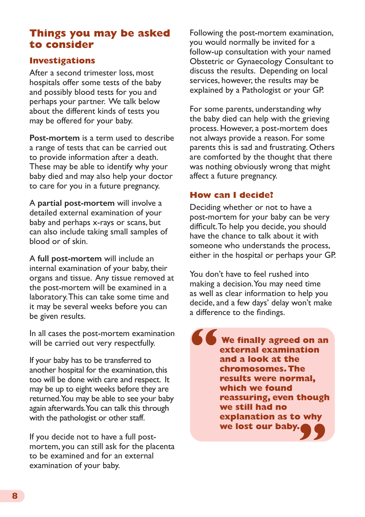# **Things you may be asked to consider**

#### **Investigations**

After a second trimester loss, most hospitals offer some tests of the baby and possibly blood tests for you and perhaps your partner. We talk below about the different kinds of tests you may be offered for your baby.

**Post-mortem** is a term used to describe a range of tests that can be carried out to provide information after a death. These may be able to identify why your baby died and may also help your doctor to care for you in a future pregnancy.

A **partial post-mortem** will involve a detailed external examination of your baby and perhaps x-rays or scans, but can also include taking small samples of blood or of skin.

A **full post-mortem** will include an internal examination of your baby, their organs and tissue. Any tissue removed at the post-mortem will be examined in a laboratory. This can take some time and it may be several weeks before you can be given results.

In all cases the post-mortem examination will be carried out very respectfully.

If your baby has to be transferred to another hospital for the examination, this too will be done with care and respect. It may be up to eight weeks before they are returned. You may be able to see your baby again afterwards. You can talk this through with the pathologist or other staff.

If you decide not to have a full postmortem, you can still ask for the placenta to be examined and for an external examination of your baby.

Following the post-mortem examination, you would normally be invited for a follow-up consultation with your named Obstetric or Gynaecology Consultant to discuss the results. Depending on local services, however, the results may be explained by a Pathologist or your GP.

For some parents, understanding why the baby died can help with the grieving process. However, a post-mortem does not always provide a reason. For some parents this is sad and frustrating. Others are comforted by the thought that there was nothing obviously wrong that might affect a future pregnancy.

#### **How can I decide?**

Deciding whether or not to have a post-mortem for your baby can be very difficult. To help you decide, you should have the chance to talk about it with someone who understands the process, either in the hospital or perhaps your GP.

You don't have to feel rushed into making a decision. You may need time as well as clear information to help you decide, and a few days' delay won't make a difference to the findings.

**We finally agreed on an external examination and a look at the chromosomes. The results were normal, which we found reassuring, even though we still had no explanation as to why we lost our baby. " "**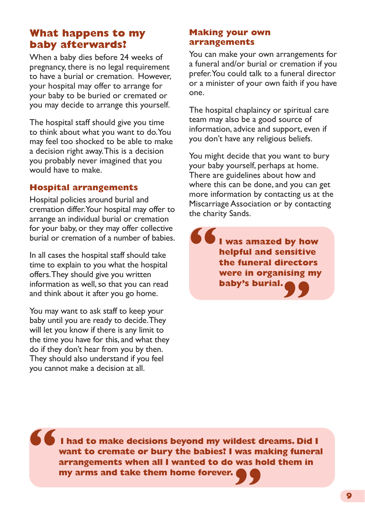# **What happens to my baby afterwards?**

When a baby dies before 24 weeks of pregnancy, there is no legal requirement to have a burial or cremation. However, your hospital may offer to arrange for your baby to be buried or cremated or you may decide to arrange this yourself.

The hospital staff should give you time to think about what you want to do. You may feel too shocked to be able to make a decision right away. This is a decision you probably never imagined that you would have to make.

#### **Hospital arrangements**

Hospital policies around burial and cremation differ. Your hospital may offer to arrange an individual burial or cremation for your baby, or they may offer collective burial or cremation of a number of babies.

In all cases the hospital staff should take time to explain to you what the hospital offers. They should give you written information as well, so that you can read and think about it after you go home.

You may want to ask staff to keep your baby until you are ready to decide. They will let you know if there is any limit to the time you have for this, and what they do if they don't hear from you by then. They should also understand if you feel you cannot make a decision at all.

#### **Making your own arrangements**

You can make your own arrangements for a funeral and/or burial or cremation if you prefer. You could talk to a funeral director or a minister of your own faith if you have one.

The hospital chaplaincy or spiritual care team may also be a good source of information, advice and support, even if you don't have any religious beliefs.

You might decide that you want to bury your baby yourself, perhaps at home. There are guidelines about how and where this can be done, and you can get more information by contacting us at the Miscarriage Association or by contacting the charity Sands.

**I was amazed by how helpful and sensitive the funeral directors were in organising my baby's burial." "**

**I had to make decisions beyond my wildest dreams. Did I want to cremate or bury the babies? I was making funeral arrangements when all I wanted to do was hold them in my arms and take them home forever. " "**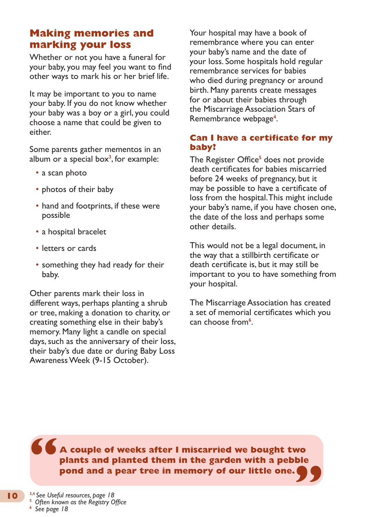# **Making memories and marking your loss**

Whether or not you have a funeral for your baby, you may feel you want to find other ways to mark his or her brief life.

It may be important to you to name your baby. If you do not know whether your baby was a boy or a girl, you could choose a name that could be given to either.

Some parents gather mementos in an album or a special box**<sup>3</sup>** , for example:

- a scan photo
- photos of their baby
- hand and footprints, if these were possible
- a hospital bracelet
- letters or cards
- something they had ready for their baby.

Other parents mark their loss in different ways, perhaps planting a shrub or tree, making a donation to charity, or creating something else in their baby's memory. Many light a candle on special days, such as the anniversary of their loss, their baby's due date or during Baby Loss Awareness Week (9-15 October).

Your hospital may have a book of remembrance where you can enter your baby's name and the date of your loss. Some hospitals hold regular remembrance services for babies who died during pregnancy or around birth. Many parents create messages for or about their babies through the Miscarriage Association Stars of Remembrance webpage**<sup>4</sup>** .

#### **Can I have a certificate for my baby?**

The Register Office<sup>5</sup> does not provide death certificates for babies miscarried before 24 weeks of pregnancy, but it may be possible to have a certificate of loss from the hospital. This might include your baby's name, if you have chosen one, the date of the loss and perhaps some other details.

This would not be a legal document, in the way that a stillbirth certificate or death certificate is, but it may still be important to you to have something from your hospital.

The Miscarriage Association has created a set of memorial certificates which you can choose from**<sup>6</sup>** .

**" A couple of weeks after I miscarried we bought two plants and planted them in the garden with a pebble pond and a pear tree in memory of our little one. "**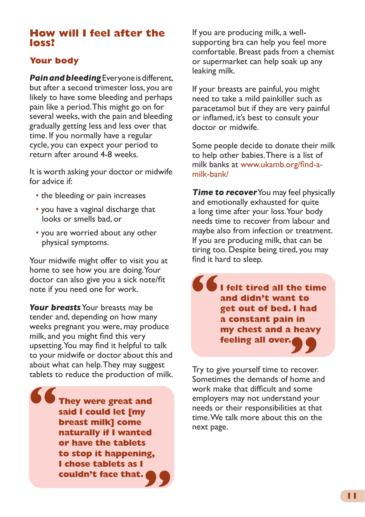### **How will I feel after the loss?**

### **Your body**

*Pain and bleeding* Everyone is different, but after a second trimester loss, you are likely to have some bleeding and perhaps pain like a period. This might go on for several weeks, with the pain and bleeding gradually getting less and less over that time. If you normally have a regular cycle, you can expect your period to return after around 4-8 weeks.

It is worth asking your doctor or midwife for advice if:

- the bleeding or pain increases
- you have a vaginal discharge that looks or smells bad, or
- you are worried about any other physical symptoms.

Your midwife might offer to visit you at home to see how you are doing. Your doctor can also give you a sick note/fit note if you need one for work.

*Your breasts* Your breasts may be tender and, depending on how many weeks pregnant you were, may produce milk, and you might find this very upsetting. You may find it helpful to talk to your midwife or doctor about this and about what can help. They may suggest tablets to reduce the production of milk.

**They were great and said I could let [my breast milk] come naturally if I wanted or have the tablets to stop it happening, I chose tablets as I couldn't face that. " "** If you are producing milk, a wellsupporting bra can help you feel more comfortable. Breast pads from a chemist or supermarket can help soak up any leaking milk.

If your breasts are painful, you might need to take a mild painkiller such as paracetamol but if they are very painful or inflamed, it's best to consult your doctor or midwife.

Some people decide to donate their milk to help other babies. There is a list of milk banks at [www.ukamb.org/find-a](http://www.ukamb.org/find-a-milk-bank/)[milk-bank/](http://www.ukamb.org/find-a-milk-bank/)

**Time to recover** You may feel physically and emotionally exhausted for quite a long time after your loss. Your body needs time to recover from labour and maybe also from infection or treatment. If you are producing milk, that can be tiring too. Despite being tired, you may find it hard to sleep.

**" I felt tired all the time and didn't want to get out of bed. I had a constant pain in my chest and a heavy feeling all over.<br>Try to give yourself time to recover.** 

Sometimes the demands of home and work make that difficult and some employers may not understand your needs or their responsibilities at that time. We talk more about this on the next page.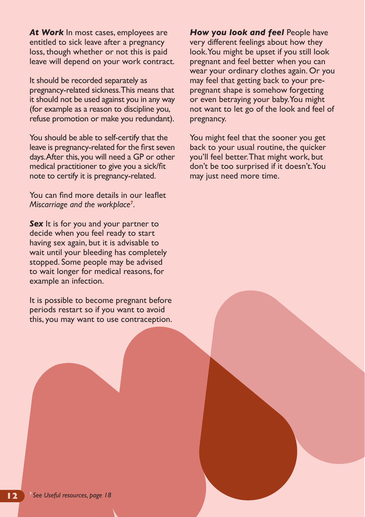At Work In most cases, employees are entitled to sick leave after a pregnancy loss, though whether or not this is paid leave will depend on your work contract.

It should be recorded separately as pregnancy-related sickness. This means that it should not be used against you in any way (for example as a reason to discipline you, refuse promotion or make you redundant).

You should be able to self-certify that the leave is pregnancy-related for the first seven days. After this, you will need a GP or other medical practitioner to give you a sick/fit note to certify it is pregnancy-related.

You can find more details in our leaflet *Miscarriage and the workplace***<sup>7</sup>** .

**Sex** It is for you and your partner to decide when you feel ready to start having sex again, but it is advisable to wait until your bleeding has completely stopped. Some people may be advised to wait longer for medical reasons, for example an infection.

It is possible to become pregnant before periods restart so if you want to avoid this, you may want to use contraception. **How you look and feel People have** very different feelings about how they look. You might be upset if you still look pregnant and feel better when you can wear your ordinary clothes again. Or you may feel that getting back to your prepregnant shape is somehow forgetting or even betraying your baby. You might not want to let go of the look and feel of pregnancy.

You might feel that the sooner you get back to your usual routine, the quicker you'll feel better. That might work, but don't be too surprised if it doesn't. You may just need more time.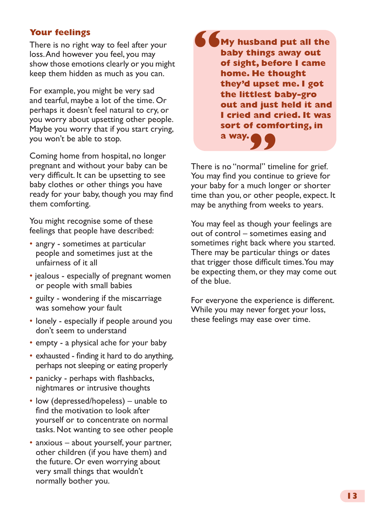#### **Your feelings**

There is no right way to feel after your loss. And however you feel, you may show those emotions clearly or you might keep them hidden as much as you can.

For example, you might be very sad and tearful, maybe a lot of the time. Or perhaps it doesn't feel natural to cry, or you worry about upsetting other people. Maybe you worry that if you start crying, you won't be able to stop.

Coming home from hospital, no longer pregnant and without your baby can be very difficult. It can be upsetting to see baby clothes or other things you have ready for your baby, though you may find them comforting.

You might recognise some of these feelings that people have described:

- angry sometimes at particular people and sometimes just at the unfairness of it all
- jealous especially of pregnant women or people with small babies
- guilty wondering if the miscarriage was somehow your fault
- lonely especially if people around you don't seem to understand
- empty a physical ache for your baby
- exhausted finding it hard to do anything, perhaps not sleeping or eating properly
- panicky perhaps with flashbacks, nightmares or intrusive thoughts
- low (depressed/hopeless) unable to find the motivation to look after yourself or to concentrate on normal tasks. Not wanting to see other people
- anxious about yourself, your partner, other children (if you have them) and the future. Or even worrying about very small things that wouldn't normally bother you.

**" My husband put all the baby things away out of sight, before I came home. He thought they'd upset me. I got the littlest baby-gro out and just held it and I cried and cried. It was sort of comforting, in a way. a way. 9 9**<br>There is no "normal" timeline for grief.

You may find you continue to grieve for your baby for a much longer or shorter time than you, or other people, expect. It may be anything from weeks to years.

You may feel as though your feelings are out of control – sometimes easing and sometimes right back where you started. There may be particular things or dates that trigger those difficult times. You may be expecting them, or they may come out of the blue.

For everyone the experience is different. While you may never forget your loss, these feelings may ease over time.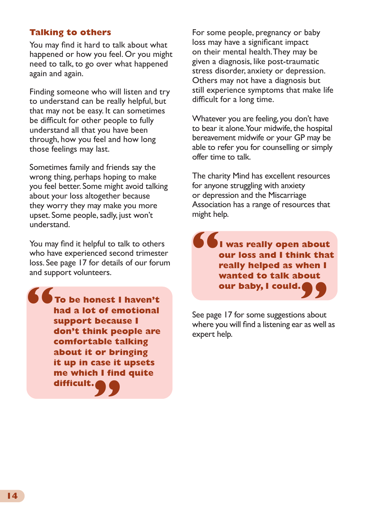#### **Talking to others**

You may find it hard to talk about what happened or how you feel. Or you might need to talk, to go over what happened again and again.

Finding someone who will listen and try to understand can be really helpful, but that may not be easy. It can sometimes be difficult for other people to fully understand all that you have been through, how you feel and how long those feelings may last.

Sometimes family and friends say the wrong thing, perhaps hoping to make you feel better. Some might avoid talking about your loss altogether because they worry they may make you more upset. Some people, sadly, just won't understand.

You may find it helpful to talk to others who have experienced second trimester loss. See page 17 for details of our forum and support volunteers.

**had a lot of emotional support because I To be honest I haven't**<br> **To be honest I haven't**<br> **had a lot of emotional**<br>
See page 17 for some suggestions about **don't think people are comfortable talking about it or bringing it up in case it upsets me which I find quite difficult. " "**

For some people, pregnancy or baby loss may have a significant impact on their mental health. They may be given a diagnosis, like post-traumatic stress disorder, anxiety or depression. Others may not have a diagnosis but still experience symptoms that make life difficult for a long time.

Whatever you are feeling, you don't have to bear it alone. Your midwife, the hospital bereavement midwife or your GP may be able to refer you for counselling or simply offer time to talk.

The charity Mind has excellent resources for anyone struggling with anxiety or depression and the Miscarriage Association has a range of resources that might help.

**I was really open about our loss and I think that really helped as when I wanted to talk about our baby, I could. "**

See page 17 for some suggestions about where you will find a listening ear as well as expert help.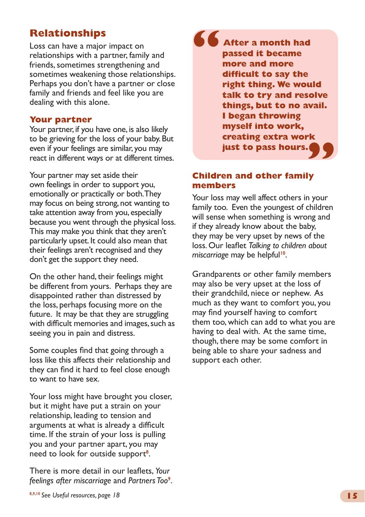# **Relationships**

Loss can have a major impact on relationships with a partner, family and friends, sometimes strengthening and sometimes weakening those relationships. Perhaps you don't have a partner or close family and friends and feel like you are dealing with this alone.

#### **Your partner**

Your partner, if you have one, is also likely to be grieving for the loss of your baby. But even if your feelings are similar, you may react in different ways or at different times.

Your partner may set aside their own feelings in order to support you, emotionally or practically or both. They may focus on being strong, not wanting to take attention away from you, especially because you went through the physical loss. This may make you think that they aren't particularly upset. It could also mean that their feelings aren't recognised and they don't get the support they need.

On the other hand, their feelings might be different from yours. Perhaps they are disappointed rather than distressed by the loss, perhaps focusing more on the future. It may be that they are struggling with difficult memories and images, such as seeing you in pain and distress.

Some couples find that going through a loss like this affects their relationship and they can find it hard to feel close enough to want to have sex.

Your loss might have brought you closer, but it might have put a strain on your relationship, leading to tension and arguments at what is already a difficult time. If the strain of your loss is pulling you and your partner apart, you may need to look for outside support**<sup>8</sup>** .

There is more detail in our leaflets, *Your*  feelings after miscarriage and Partners Too<sup>9</sup>.

**After a month had passed it became more and more difficult to say the right thing. We would talk to try and resolve things, but to no avail. I began throwing myself into work, creating extra work just to pass hours. " "**

#### **Children and other family members**

Your loss may well affect others in your family too. Even the youngest of children will sense when something is wrong and if they already know about the baby, they may be very upset by news of the loss. Our leaflet *Talking to children about miscarriage* may be helpful**10**.

Grandparents or other family members may also be very upset at the loss of their grandchild, niece or nephew. As much as they want to comfort you, you may find yourself having to comfort them too, which can add to what you are having to deal with. At the same time, though, there may be some comfort in being able to share your sadness and support each other.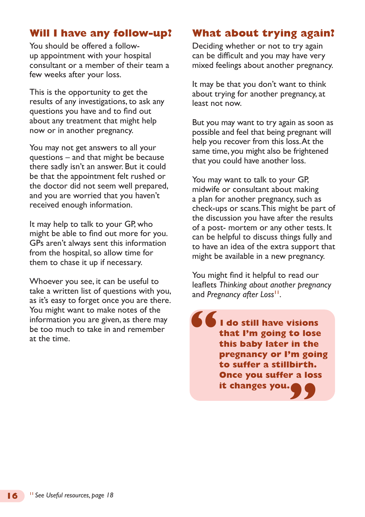# **Will I have any follow-up?**

You should be offered a followup appointment with your hospital consultant or a member of their team a few weeks after your loss.

This is the opportunity to get the results of any investigations, to ask any questions you have and to find out about any treatment that might help now or in another pregnancy.

You may not get answers to all your questions – and that might be because there sadly isn't an answer. But it could be that the appointment felt rushed or the doctor did not seem well prepared, and you are worried that you haven't received enough information.

It may help to talk to your GP, who might be able to find out more for you. GPs aren't always sent this information from the hospital, so allow time for them to chase it up if necessary.

Whoever you see, it can be useful to take a written list of questions with you, as it's easy to forget once you are there. You might want to make notes of the information you are given, as there may be too much to take in and remember at the time.

# **What about trying again?**

Deciding whether or not to try again can be difficult and you may have very mixed feelings about another pregnancy.

It may be that you don't want to think about trying for another pregnancy, at least not now.

But you may want to try again as soon as possible and feel that being pregnant will help you recover from this loss. At the same time, you might also be frightened that you could have another loss.

You may want to talk to your GP, midwife or consultant about making a plan for another pregnancy, such as check-ups or scans. This might be part of the discussion you have after the results of a post- mortem or any other tests. It can be helpful to discuss things fully and to have an idea of the extra support that might be available in a new pregnancy.

You might find it helpful to read our leaflets *Thinking about another pregnancy* and *Pregnancy after Loss***11**.

**I do still have visions that I'm going to lose this baby later in the pregnancy or I'm going to suffer a stillbirth. Once you suffer a loss it changes you. " "**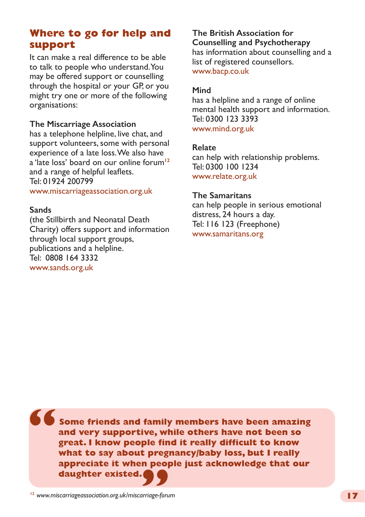# **Where to go for help and support**

It can make a real difference to be able to talk to people who understand. You may be offered support or counselling through the hospital or your GP, or you might try one or more of the following organisations:

#### **The Miscarriage Association**

has a telephone helpline, live chat, and support volunteers, some with personal experience of a late loss. We also have a 'late loss' board on our online forum**<sup>12</sup>** and a range of helpful leaflets. Tel: 01924 200799

#### [www.miscarriageassociation.org.uk](http://www.miscarriageassociation.org.uk/leaflets)

#### **Sands**

(the Stillbirth and Neonatal Death Charity) offers support and information through local support groups, publications and a helpline. Tel: 0808 164 3332 [www.sands.org.uk](http://www.sands.org.uk)

#### **The British Association for Counselling and Psychotherapy** has information about counselling and a list of registered counsellors.

[www.bacp.co.uk](http://www.bacp.co.uk)

#### **Mind**

has a helpline and a range of online mental health support and information. Tel: 0300 123 3393 [www.mind.org.uk](http://www.mind.org.uk)

#### **Relate**

can help with relationship problems. Tel: 0300 100 1234 [www.relate.org.uk](http://www.relate.org.uk)

#### **The Samaritans**

can help people in serious emotional distress, 24 hours a day. Tel: 116 123 (Freephone) [www.samaritans.org](http://www.samaritans.org)

**Some friends and family members have been amazing and very supportive, while others have not been so great. I know people find it really difficult to know what to say about pregnancy/baby loss, but I really appreciate it when people just acknowledge that our daughter existed. " 99**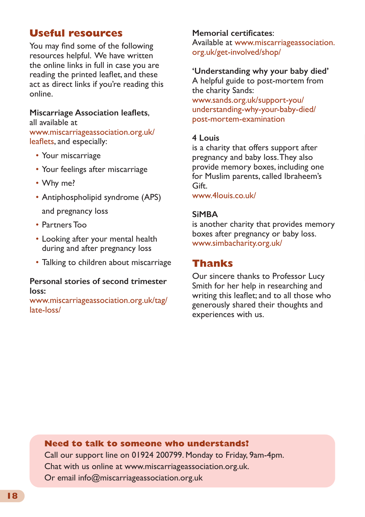# **Useful resources**

You may find some of the following resources helpful. We have written the online links in full in case you are reading the printed leaflet, and these act as direct links if you're reading this online.

#### **Miscarriage Association leaflets**,

all available at [www.miscarriageassociation.org.uk/](http://www.miscarriageassociation.org.uk/leaflets) [leaflets](http://www.miscarriageassociation.org.uk/leaflets), and especially:

- Your miscarriage
- Your feelings after miscarriage
- Why me?
- Antiphospholipid syndrome (APS) and pregnancy loss
- Partners Too
- Looking after your mental health during and after pregnancy loss
- Talking to children about miscarriage

#### **Personal stories of second trimester loss:**

[www.miscarriageassociation.org.uk/tag/](http://www.miscarriageassociation.org.uk/tag/late-loss/) [late-loss/](http://www.miscarriageassociation.org.uk/tag/late-loss/)

#### **Memorial certificates**:

Available at [www.miscarriageassociation.](http://www.miscarriageassociation.org.uk/get-involved/shop/) [org.uk/get-involved/shop/](http://www.miscarriageassociation.org.uk/get-involved/shop/)

#### **'Understanding why your baby died'**

A helpful guide to post-mortem from the charity Sands: [www.sands.org.uk/support-you/](http://www.sands.org.uk/support-you/understanding-why-your-baby-died/post-mortem-examination) [understanding-why-your-baby-died/](http://www.sands.org.uk/support-you/understanding-why-your-baby-died/post-mortem-examination) [post-mortem-examination](http://www.sands.org.uk/support-you/understanding-why-your-baby-died/post-mortem-examination)

#### **4 Louis**

is a charity that offers support after pregnancy and baby loss. They also provide memory boxes, including one for Muslim parents, called Ibraheem's Gift.

[www.4louis.co.uk/](http://www.4louis.co.uk/)

#### **SiMBA**

is another charity that provides memory boxes after pregnancy or baby loss. [www.simbacharity.org.uk/](http://www.simbacharity.org.uk/)

# **Thanks**

Our sincere thanks to Professor Lucy Smith for her help in researching and writing this leaflet; and to all those who generously shared their thoughts and experiences with us.

#### **Need to talk to someone who understands?**

**Stars of remembrance**: Call our support line [on 01924 200799. Monday to Friday,](http://www.miscarriageassociation.org.uk) 9am-4pm. Chat with us online at www.miscarriageassociation.org.uk. Or email info@miscarriageassociation.org.uk

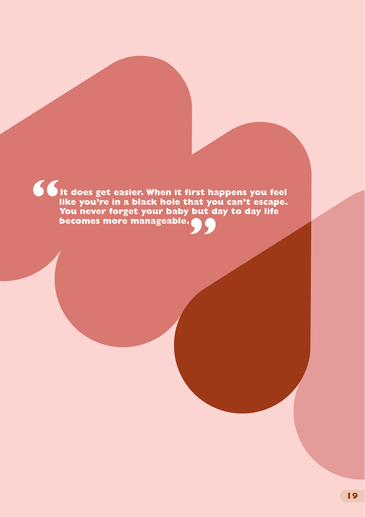**It does get easier. When it first happens you feel like you're in a black hole that you can't escape. You never forget your baby but day to day life becomes more manageable. " "**